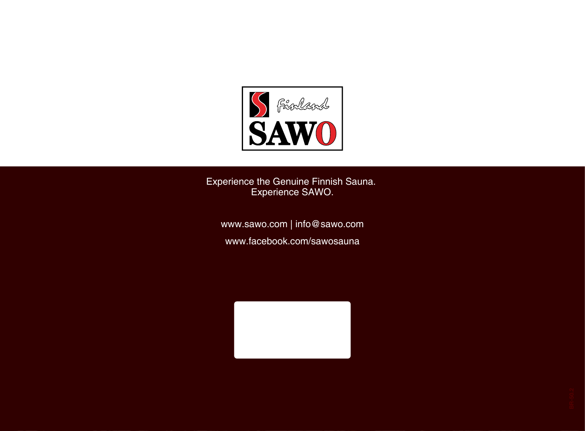

Experience the Genuine Finnish Sauna. Experience SAWO.

www.sawo.com | info@sawo.com www.facebook.com/sawosauna

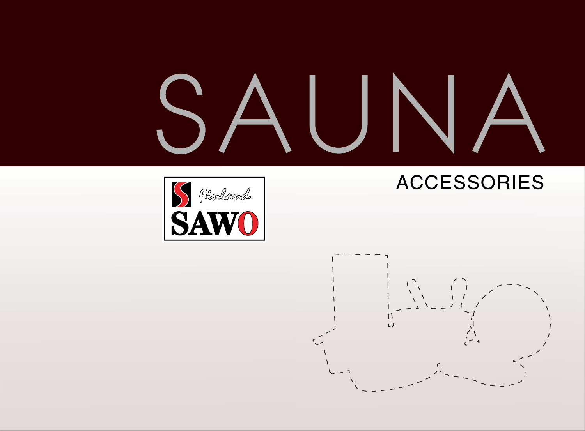# I J

# Fraland **SA**



**ACCESSORIES**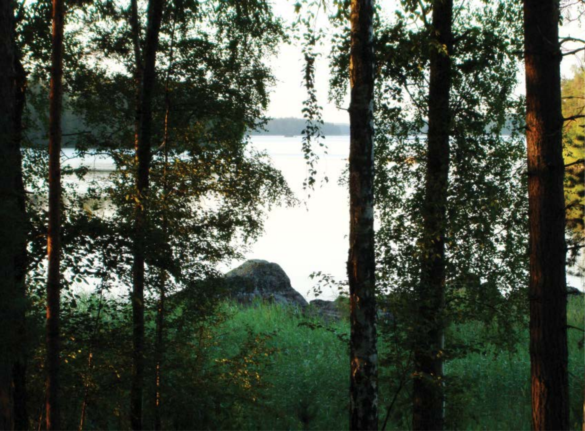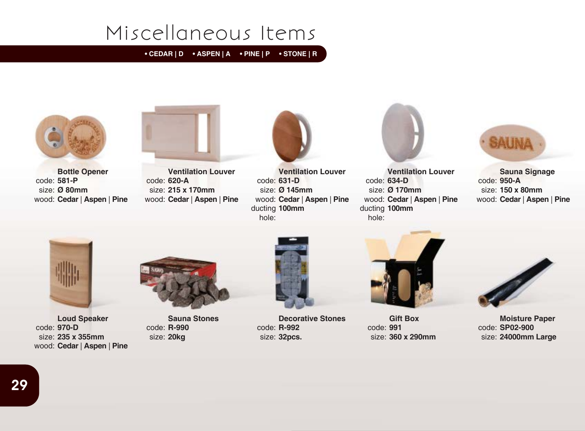## Miscellaneous Items

**• CEDAR | D • ASPEN | A • PINE | P • STONE | R**



code: **581-P** size: **Ø 80mm** wood: **Cedar** | **Aspen** | **Pine Bottle Opener**



code: **620-A** size: **215 x 170mm** wood: **Cedar** | **Aspen** | **Pine Ventilation Louver**



code: **631-D** size: **Ø 145mm** wood: **Cedar** | **Aspen** | **Pine** ducting **100mm** hole: **Ventilation Louver**



**Ventilation Louver 634-D** code: **Ø 170mm** size: **Cedar** | **Aspen** | **Pine** wood: **100mm** ducting hole:



code: **950-A** size: **150 x 80mm** wood: **Cedar** | **Aspen** | **Pine Sauna Signage**



code: **970-D** size: **235 x 355mm** wood: **Cedar** | **Aspen** | **Pine Loud Speaker**



code: **R-990** size: **20kg Sauna Stones**



code: **R-992** size: **32pcs. Decorative Stones**



code: **991** size: **360 x 290mm Gift Box**



code: **SP02-900** size: **24000mm Large Moisture Paper**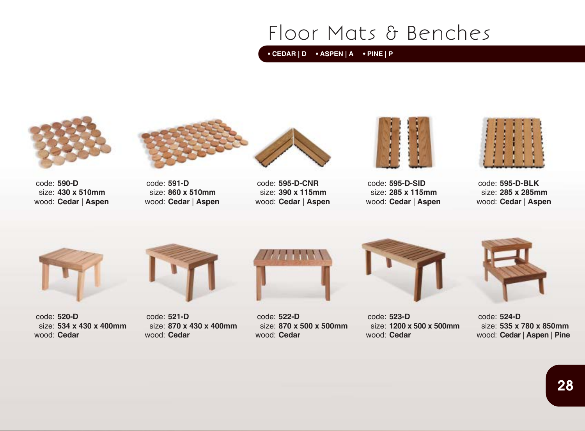### Floor Mats & Benches

**• CEDAR | D • ASPEN | A • PINE | P**



code: **590-D** size: **430 x 510mm** wood: **Cedar** | **Aspen**



code: **591-D** size: **860 x 510mm** wood: **Cedar** | **Aspen**



code: **595-D-CNR** size: **390 x 115mm** wood: **Cedar** | **Aspen**



code: **595-D-SID** size: **285 x 115mm** wood: **Cedar** | **Aspen**



code: **595-D-BLK** size: **285 x 285mm** wood: **Cedar** | **Aspen**



code: **520-D** size: **534 x 430 x 400mm** wood: **Cedar**



code: **521-D** size: **870 x 430 x 400mm** wood: **Cedar**



code: **522-D** size: **870 x 500 x 500mm** wood: **Cedar**



code: **523-D** size: **1200 x 500 x 500mm** wood: **Cedar**



code: **524-D** size: **535 x 780 x 850mm** wood: **Cedar** | **Aspen** | **Pine**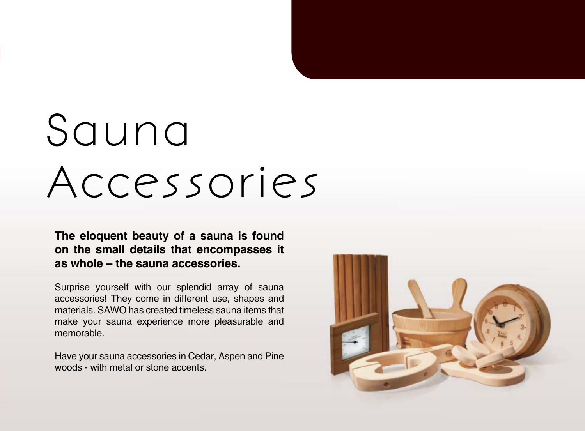# Sauna Accessories

**The eloquent beauty of a sauna is found on the small details that encompasses it as whole – the sauna accessories.**

Surprise yourself with our splendid array of sauna accessories! They come in different use, shapes and materials. SAWO has created timeless sauna items that make your sauna experience more pleasurable and memorable.

Have your sauna accessories in Cedar, Aspen and Pine woods - with metal or stone accents.

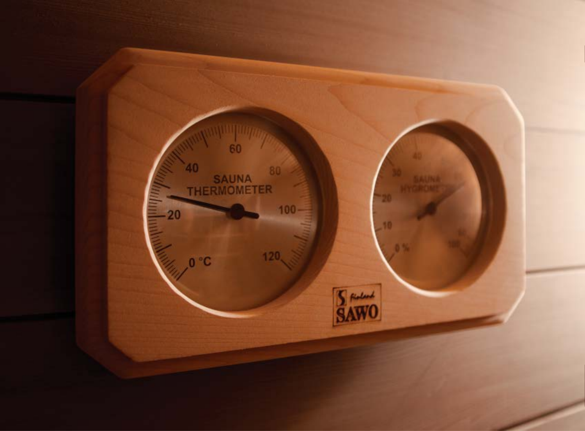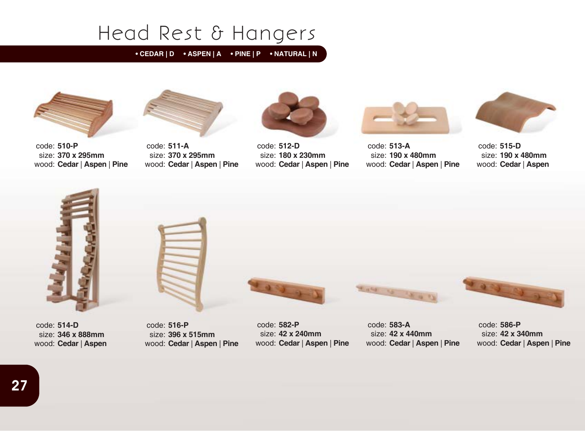### Head Rest & Hangers

**• CEDAR | D • ASPEN | A • PINE | P • NATURAL | N**



code: **510-P** size: **370 x 295mm** wood: **Cedar** | **Aspen** | **Pine**



code: **511-A** size: **370 x 295mm** wood: **Cedar** | **Aspen** | **Pine**



code: **512-D** size: **180 x 230mm** wood: **Cedar** | **Aspen** | **Pine**



code: **513-A** size: **190 x 480mm** wood: **Cedar** | **Aspen** | **Pine**



code: **515-D** size: **190 x 480mm** wood: **Cedar** | **Aspen**



code: **514-D** size: **346 x 888mm** wood: **Cedar** | **Aspen**



code: **516-P** size: **396 x 515mm** wood: **Cedar** | **Aspen** | **Pine**



code: **582-P** size: **42 x 240mm** wood: **Cedar** | **Aspen** | **Pine**



code: **583-A** size: **42 x 440mm** wood: **Cedar** | **Aspen** | **Pine**



code: **586-P** size: **42 x 340mm** wood: **Cedar** | **Aspen** | **Pine**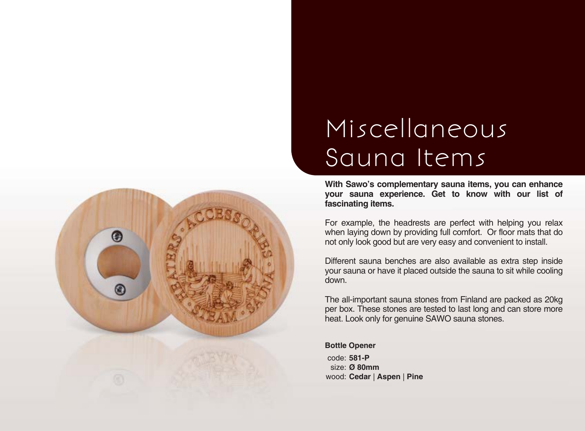

# Miscellaneous Sauna Items

**With Sawo's complementary sauna items, you can enhance your sauna experience. Get to know with our list of fascinating items.**

For example, the headrests are perfect with helping you relax when laying down by providing full comfort. Or floor mats that do not only look good but are very easy and convenient to install.

Different sauna benches are also available as extra step inside your sauna or have it placed outside the sauna to sit while cooling down.

The all-important sauna stones from Finland are packed as 20kg per box. These stones are tested to last long and can store more heat. Look only for genuine SAWO sauna stones.

**Bottle Opener** code: **581-P** size: **Ø 80mm** wood: **Cedar** | **Aspen** | **Pine**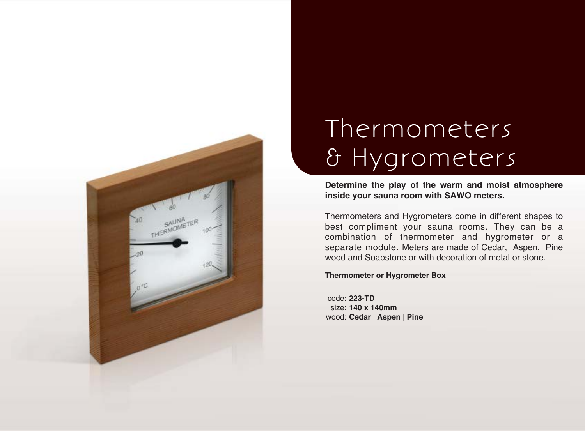

# Thermometers & Hygrometers

**Determine the play of the warm and moist atmosphere inside your sauna room with SAWO meters.**

Thermometers and Hygrometers come in different shapes to best compliment your sauna rooms. They can be a combination of thermometer and hygrometer or a separate module. Meters are made of Cedar, Aspen, Pine wood and Soapstone or with decoration of metal or stone.

**Thermometer or Hygrometer Box**

code: **223-TD** size: **140 x 140mm** wood: **Cedar** | **Aspen** | **Pine**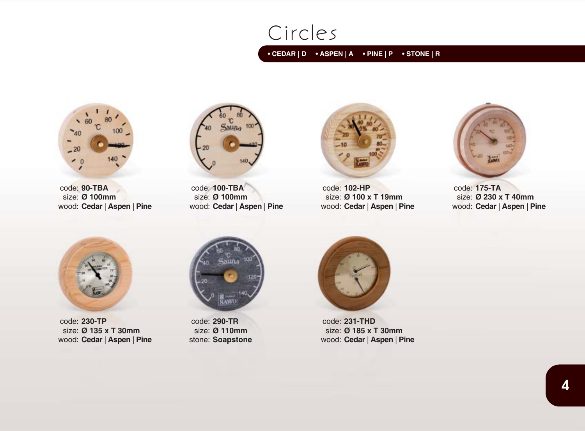# Circles

**• CEDAR | D • ASPEN | A • PINE | P • STONE | R**



code: **90-TBA** size: **Ø 100mm** wood: **Cedar** | **Aspen** | **Pine**



code: **100-TBA** size: **Ø 100mm** wood: **Cedar** | **Aspen** | **Pine**



code: **102-HP** size: **Ø 100 x T 19mm** wood: **Cedar** | **Aspen** | **Pine**



code: **175-TA** size: **Ø 230 x T 40mm** wood: **Cedar** | **Aspen** | **Pine**



code: **230-TP** size: **Ø 135 x T 30mm** wood: **Cedar** | **Aspen** | **Pine**



code: **290-TR** size: **Ø 110mm** stone: **Soapstone**



code: **231-THD** size: **Ø 185 x T 30mm** wood: **Cedar** | **Aspen** | **Pine**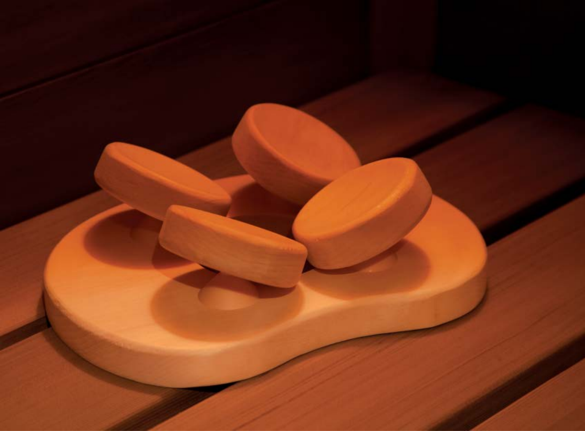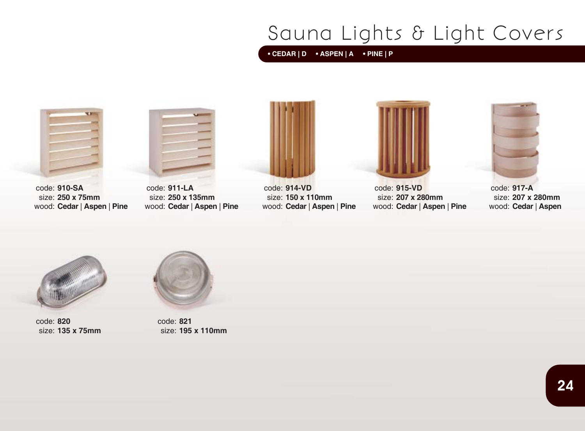# Sauna Lights & Light Covers

**• CEDAR | D • ASPEN | A • PINE | P**





code: **910-SA** size: **250 x 75mm** wood: **Cedar** | **Aspen** | **Pine**

code: **911-LA** size: **250 x 135mm** wood: **Cedar** | **Aspen** | **Pine**



code: **914-VD** size: **150 x 110mm** wood: **Cedar** | **Aspen** | **Pine**



code: **915-VD** size: **207 x 280mm** wood: **Cedar** | **Aspen** | **Pine**



code: **917-A** size: **207 x 280mm** wood: **Cedar** | **Aspen**



code: **820** size: **135 x 75mm**



code: **821** size: **195 x 110mm**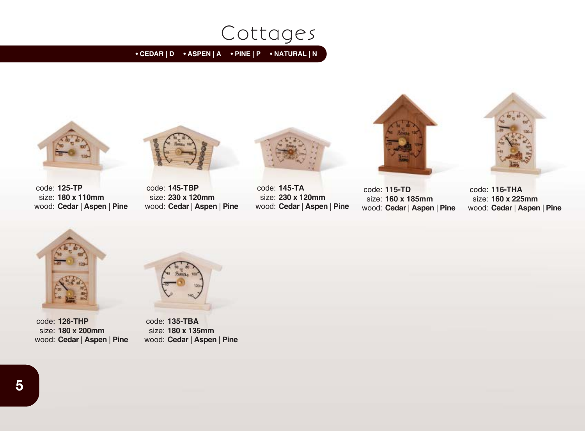### Cottages

**• CEDAR | D • ASPEN | A • PINE | P • NATURAL | N**



code: **125-TP** size: **180 x 110mm** wood: **Cedar** | **Aspen** | **Pine**



code: **145-TBP** size: **230 x 120mm** wood: **Cedar** | **Aspen** | **Pine**



code: **145-TA** size: **230 x 120mm** wood: **Cedar** | **Aspen** | **Pine**



code: **115-TD** size: **160 x 185mm** wood: **Cedar** | **Aspen** | **Pine**



code: **116-THA** size: **160 x 225mm** wood: **Cedar** | **Aspen** | **Pine**



code: **126-THP** size: **180 x 200mm** wood: **Cedar** | **Aspen** | **Pine**



code: **135-TBA** size: **180 x 135mm** wood: **Cedar** | **Aspen** | **Pine**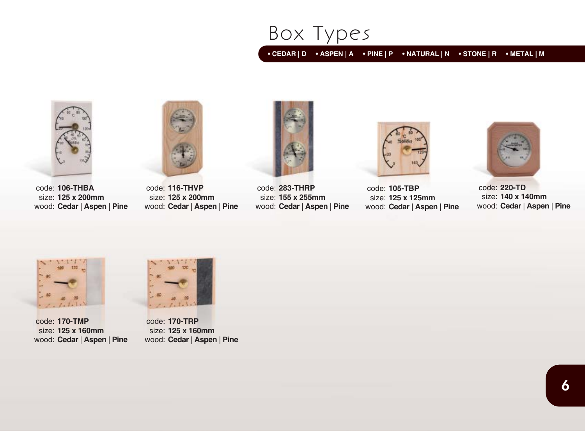# Box Types

**• CEDAR | D • ASPEN | A • PINE | P • NATURAL | N • STONE | R • METAL | M**





code: **106-THBA** size: **125 x 200mm** wood: **Cedar** | **Aspen** | **Pine**

code: **116-THVP** size: **125 x 200mm** wood: **Cedar** | **Aspen** | **Pine**



code: **283-THRP** size: **155 x 255mm** wood: **Cedar** | **Aspen** | **Pine**



code: **105-TBP** size: **125 x 125mm** wood: **Cedar** | **Aspen** | **Pine**



code: **220-TD** size: **140 x 140mm** wood: **Cedar** | **Aspen** | **Pine**



code: **170-TMP** size: **125 x 160mm** wood: **Cedar** | **Aspen** | **Pine**



code: **170-TRP** size: **125 x 160mm** wood: **Cedar** | **Aspen** | **Pine**

6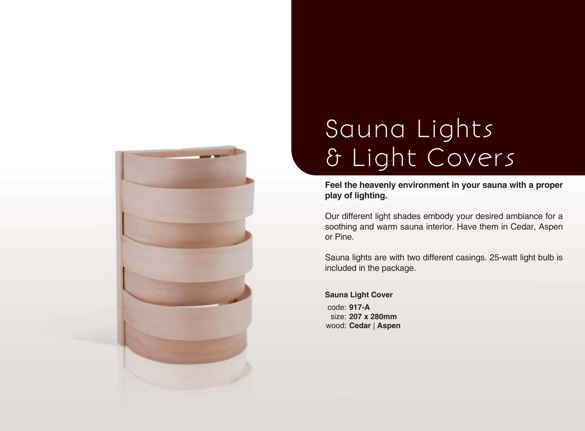

# Sauna Lights & Light Covers

**Feel the heavenly environment in your sauna with a proper play of lighting.**

Our different light shades embody your desired ambiance for a soothing and warm sauna interior. Have them in Cedar, Aspen or Pine.

Sauna lights are with two different casings. 25-watt light bulb is included in the package.

#### **Sauna Light Cover**

code: **917-A** size: **207 x 280mm** wood: **Cedar** | **Aspen**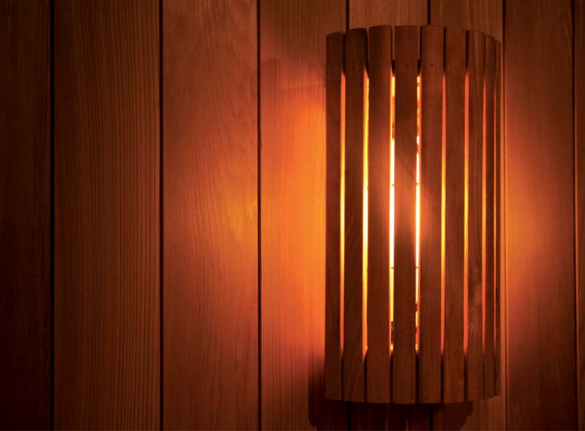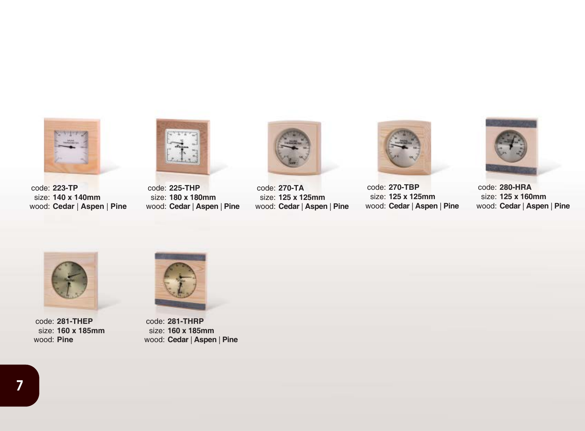

code: **223-TP** size: **140 x 140mm** wood: **Cedar** | **Aspen** | **Pine**



code: **225-THP** size: **180 x 180mm** wood: **Cedar** | **Aspen** | **Pine**



code: **270-TA** size: **125 x 125mm** wood: **Cedar** | **Aspen** | **Pine**



code: **270-TBP** size: **125 x 125mm** wood: **Cedar** | **Aspen** | **Pine**



code: **280-HRA** size: **125 x 160mm** wood: **Cedar** | **Aspen** | **Pine**



code: **281-THEP** size: **160 x 185mm** wood: **Pine**



code: **281-THRP** size: **160 x 185mm** wood: **Cedar** | **Aspen** | **Pine**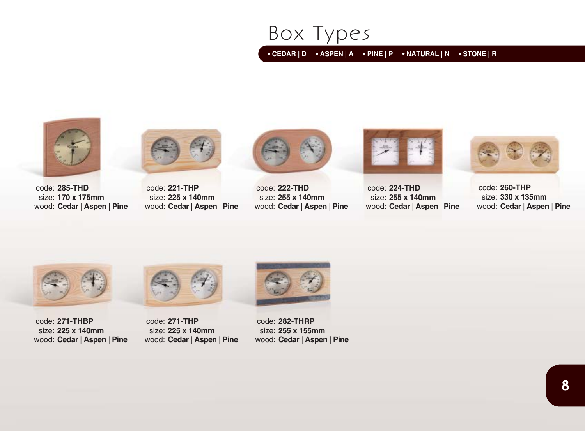### **• CEDAR | D • ASPEN | A • PINE | P • NATURAL | N • STONE | R** Box Types

code: **285-THD** size: **170 x 175mm** wood: **Cedar** | **Aspen** | **Pine**

code: **221-THP** size: **225 x 140mm** wood: **Cedar** | **Aspen** | **Pine**



code: **222-THD** size: **255 x 140mm** wood: **Cedar** | **Aspen** | **Pine**



code: **224-THD** size: **255 x 140mm** wood: **Cedar** | **Aspen** | **Pine**



code: **260-THP** size: **330 x 135mm** wood: **Cedar** | **Aspen** | **Pine**



code: **271-THBP** size: **225 x 140mm** wood: **Cedar** | **Aspen** | **Pine**



code: **271-THP** size: **225 x 140mm** wood: **Cedar** | **Aspen** | **Pine**



code: **282-THRP** size: **255 x 155mm** wood: **Cedar** | **Aspen** | **Pine**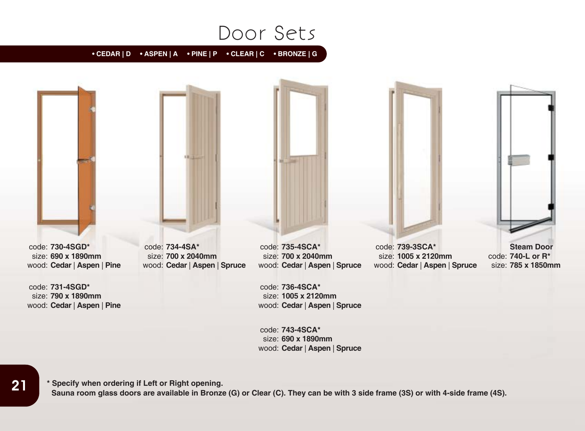### Door Sets

**• CEDAR | D • ASPEN | A • PINE | P • CLEAR | C • BRONZE | G**



code: **731-4SGD\*** size: **790 x 1890mm** wood: **Cedar** | **Aspen** | **Pine** wood: **Cedar** | **Aspen** | **Spruce**

code: **736-4SCA\*** size: **1005 x 2120mm** wood: **Cedar** | **Aspen** | **Spruce**

code: **743-4SCA\*** size: **690 x 1890mm** wood: **Cedar** | **Aspen** | **Spruce**

**\* Specify when ordering if Left or Right opening.**

**Sauna room glass doors are available in Bronze (G) or Clear (C). They can be with 3 side frame (3S) or with 4-side frame (4S).**

21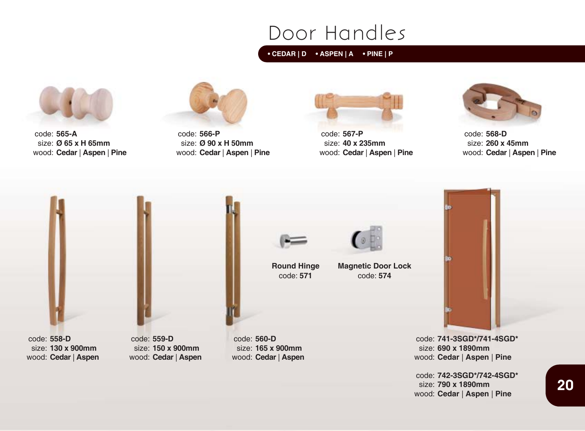### Door Handles

**• CEDAR | D • ASPEN | A • PINE | P** 



code: **565-A** size: **Ø 65 x H 65mm** wood: **Cedar** | **Aspen** | **Pine**



code: **566-P** size: **Ø 90 x H 50mm** wood: **Cedar** | **Aspen** | **Pine**



code: **567-P** size: **40 x 235mm** wood: **Cedar** | **Aspen** | **Pine**



code: **568-D** size: **260 x 45mm** wood: **Cedar** | **Aspen** | **Pine**



code: **558-D** size: **130 x 900mm** wood: **Cedar** | **Aspen**

code: **559-D** size: **150 x 900mm** wood: **Cedar** | **Aspen**



**Round Hinge** code: **571**

**Magnetic Door Lock** code: **574**

 $\overline{(\circ \mathbb{P})}$ 



code: **741-3SGD\*/741-4SGD\*** size: **690 x 1890mm** wood: **Cedar** | **Aspen** | **Pine** 

code: **742-3SGD\*/742-4SGD\*** size: **790 x 1890mm** wood: **Cedar** | **Aspen** | **Pine** 

code: **560-D** size: **165 x 900mm** wood: **Cedar** | **Aspen**

20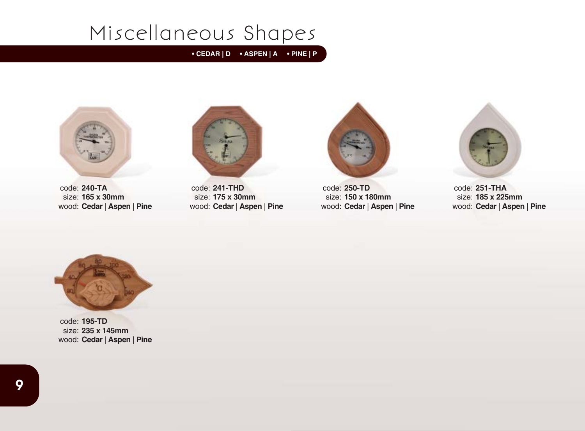### Miscellaneous Shapes

**• CEDAR | D • ASPEN | A • PINE | P**



code: **240-TA** size: **165 x 30mm** wood: **Cedar** | **Aspen** | **Pine**



code: **241-THD** size: **175 x 30mm** wood: **Cedar** | **Aspen** | **Pine**



code: **250-TD** size: **150 x 180mm** wood: **Cedar** | **Aspen** | **Pine**



code: **251-THA** size: **185 x 225mm** wood: **Cedar** | **Aspen** | **Pine**



code: **195-TD** size: **235 x 145mm** wood: **Cedar** | **Aspen** | **Pine**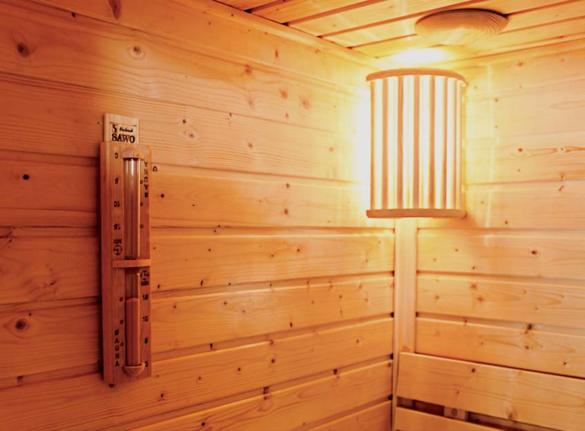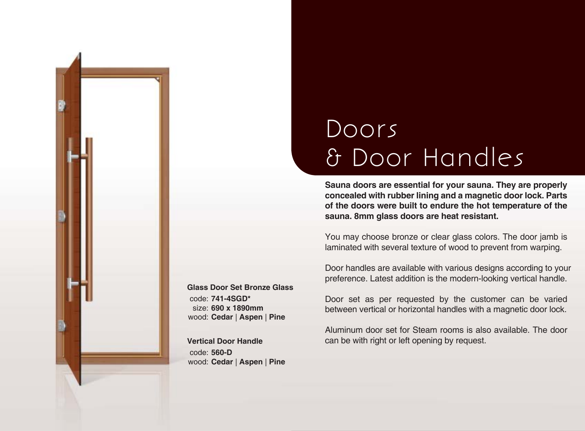

**Glass Door Set Bronze Glass** code: **741-4SGD\*** size: **690 x 1890mm** wood: **Cedar** | **Aspen** | **Pine**

code: **560-D** wood: **Cedar** | **Aspen** | **Pine Vertical Door Handle**

# Doors & Door Handles

**Sauna doors are essential for your sauna. They are properly concealed with rubber lining and a magnetic door lock. Parts of the doors were built to endure the hot temperature of the sauna. 8mm glass doors are heat resistant.**

You may choose bronze or clear glass colors. The door jamb is laminated with several texture of wood to prevent from warping.

Door handles are available with various designs according to your preference. Latest addition is the modern-looking vertical handle.

Door set as per requested by the customer can be varied between vertical or horizontal handles with a magnetic door lock.

Aluminum door set for Steam rooms is also available. The door can be with right or left opening by request.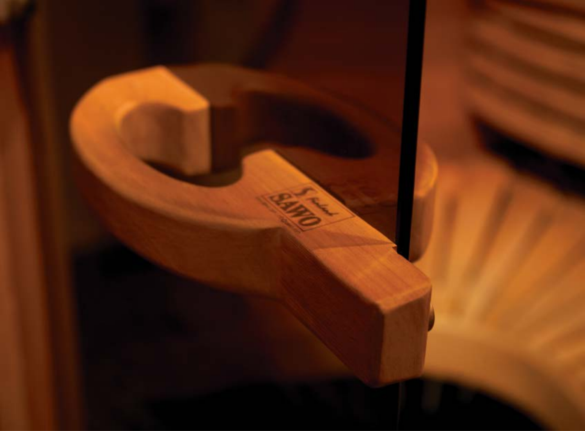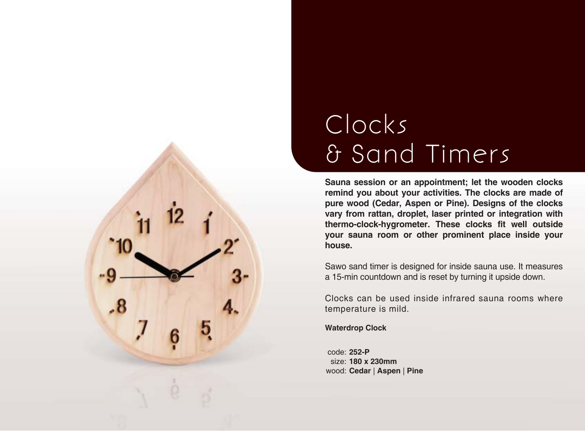# Clocks & Sand Timers

**Sauna session or an appointment; let the wooden clocks remind you about your activities. The clocks are made of pure wood (Cedar, Aspen or Pine). Designs of the clocks vary from rattan, droplet, laser printed or integration with thermo-clock-hygrometer. These clocks fit well outside your sauna room or other prominent place inside your house.**

Sawo sand timer is designed for inside sauna use. It measures a 15-min countdown and is reset by turning it upside down.

Clocks can be used inside infrared sauna rooms where temperature is mild.

**Waterdrop Clock**

5

code: **252-P** size: **180 x 230mm** wood: **Cedar** | **Aspen** | **Pine**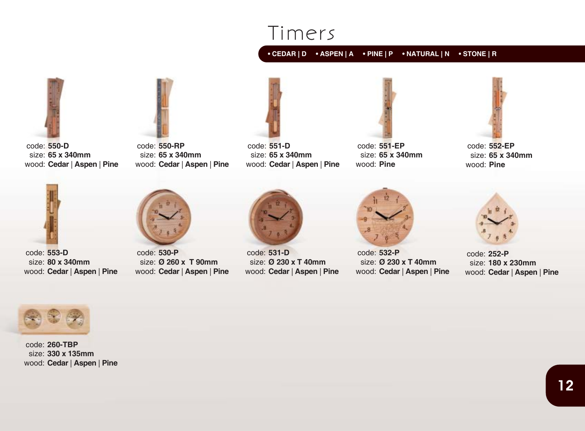## Timers

**• CEDAR | D • ASPEN | A • PINE | P • NATURAL | N • STONE | R**





code: **550-D** size: **65 x 340mm** wood: **Cedar** | **Aspen** | **Pine**

code: **550-RP** size: **65 x 340mm** wood: **Cedar** | **Aspen** | **Pine**



code: **551-D** size: **65 x 340mm** wood: **Cedar** | **Aspen** | **Pine**



code: **551-EP** size: **65 x 340mm** wood: **Pine**



code: **552-EP** size: **65 x 340mm** wood: **Pine**



code: **553-D** size: **80 x 340mm** wood: **Cedar** | **Aspen** | **Pine**



code: **530-P** size: **Ø 260 x T 90mm** wood: **Cedar** | **Aspen** | **Pine**



code: **531-D** size: **Ø 230 x T 40mm** wood: **Cedar** | **Aspen** | **Pine**



code: **532-P** size: **Ø 230 x T 40mm** wood: **Cedar** | **Aspen** | **Pine**



code: **252-P** size: **180 x 230mm** wood: **Cedar** | **Aspen** | **Pine**



code: **260-TBP** size: **330 x 135mm** wood: **Cedar** | **Aspen** | **Pine**

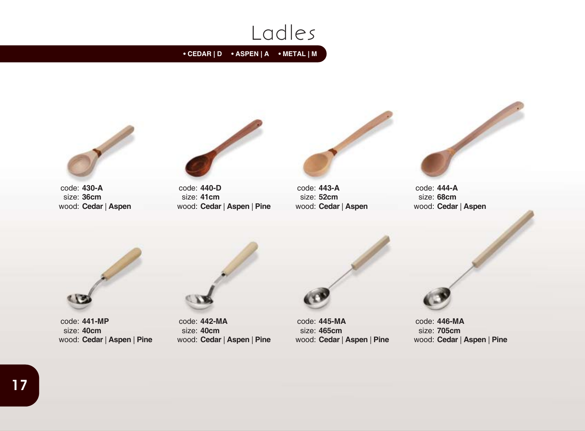# Ladles

**• CEDAR | D • ASPEN | A • METAL | M**



code: **430-A** size: **36cm**



code: **440-D** size: **41cm** wood: **Cedar** | **Aspen** | **Pine**



code: **443-A** size: **52cm** wood: **Cedar** | **Aspen**



code: **444-A** size: **68cm** wood: **Cedar** | **Aspen**

wood: **Cedar** | **Aspen**



code: **441-MP** size: **40cm** wood: **Cedar** | **Aspen** | **Pine**



code: **442-MA** size: **40cm** wood: **Cedar** | **Aspen** | **Pine**



code: **445-MA** size: **465cm** wood: **Cedar** | **Aspen** | **Pine**



code: **446-MA** size: **705cm** wood: **Cedar** | **Aspen** | **Pine**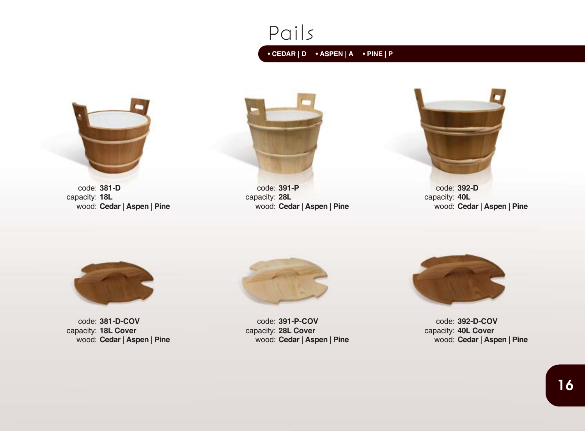### Pails

**• CEDAR | D • ASPEN | A • PINE | P** 



code: **381-D** capacity: **18L** wood: **Cedar** | **Aspen** | **Pine**



code: **391-P** capacity: **28L** wood: **Cedar** | **Aspen** | **Pine**



code: **392-D** capacity: **40L** wood: **Cedar** | **Aspen** | **Pine**



code: **381-D-COV** capacity: **18L Cover** wood: **Cedar** | **Aspen** | **Pine**



code: **391-P-COV** capacity: **28L Cover** wood: **Cedar** | **Aspen** | **Pine**



code: **392-D-COV** capacity: **40L Cover** wood: **Cedar** | **Aspen** | **Pine**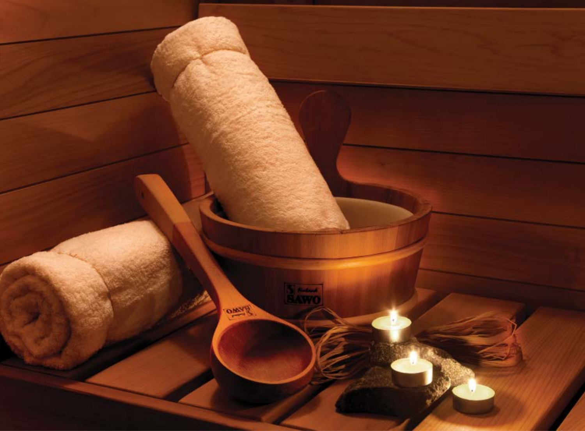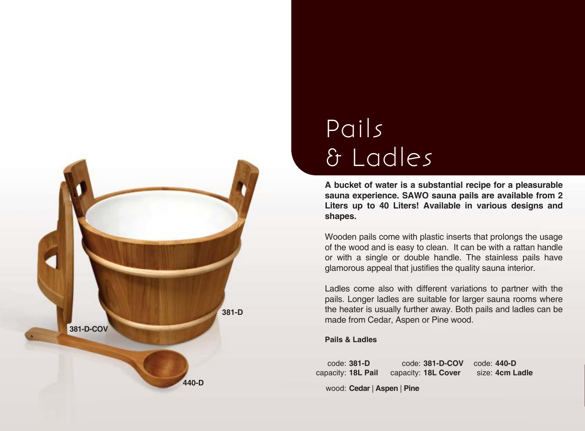# Pails & Ladles

**A bucket of water is a substantial recipe for a pleasurable sauna experience. SAWO sauna pails are available from 2 Liters up to 40 Liters! Available in various designs and shapes.** 

Wooden pails come with plastic inserts that prolongs the usage of the wood and is easy to clean. It can be with a rattan handle or with a single or double handle. The stainless pails have glamorous appeal that justifies the quality sauna interior.

Ladles come also with different variations to partner with the pails. Longer ladles are suitable for larger sauna rooms where the heater is usually further away. Both pails and ladles can be made from Cedar, Aspen or Pine wood.

#### **Pails & Ladles**

**381-D**

**440-D**

**381-D-COV**

code: **381-D** capacity: **18L Pail** code: **381-D-COV** code: **440-D** capacity: **18L Cover** size: **4cm Ladle**

wood: **Cedar** | **Aspen** | **Pine**